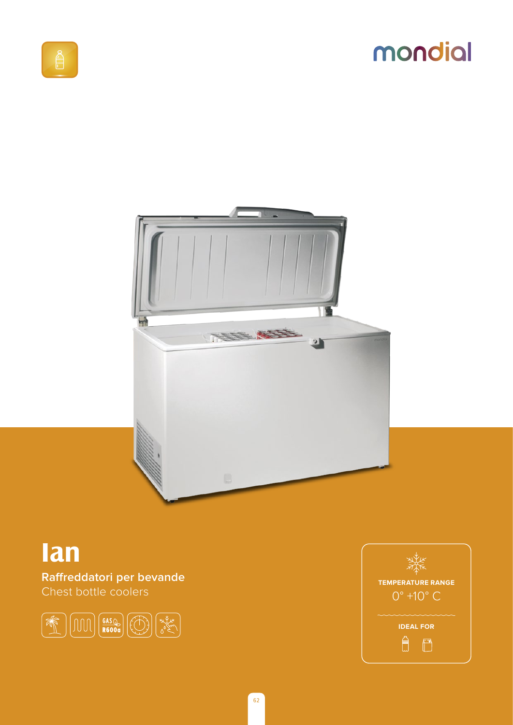# mondial





# **lan**

Raffreddatori per bevande Chest bottle coolers